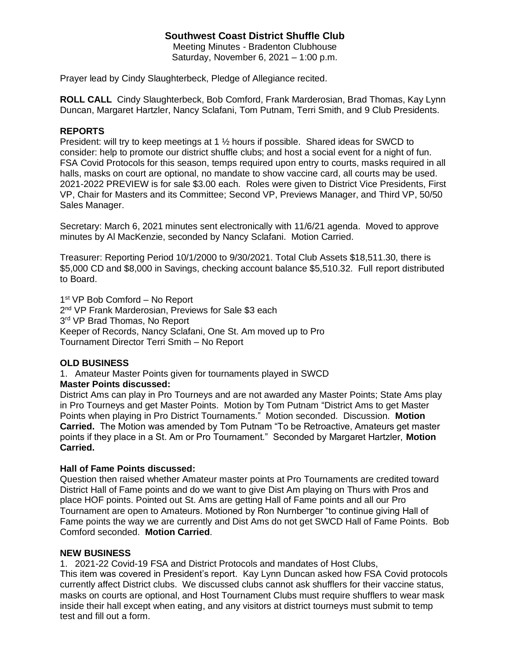# **Southwest Coast District Shuffle Club**

Meeting Minutes - Bradenton Clubhouse Saturday, November 6, 2021 – 1:00 p.m.

Prayer lead by Cindy Slaughterbeck, Pledge of Allegiance recited.

**ROLL CALL** Cindy Slaughterbeck, Bob Comford, Frank Marderosian, Brad Thomas, Kay Lynn Duncan, Margaret Hartzler, Nancy Sclafani, Tom Putnam, Terri Smith, and 9 Club Presidents.

### **REPORTS**

President: will try to keep meetings at 1 ½ hours if possible. Shared ideas for SWCD to consider: help to promote our district shuffle clubs; and host a social event for a night of fun. FSA Covid Protocols for this season, temps required upon entry to courts, masks required in all halls, masks on court are optional, no mandate to show vaccine card, all courts may be used. 2021-2022 PREVIEW is for sale \$3.00 each. Roles were given to District Vice Presidents, First VP, Chair for Masters and its Committee; Second VP, Previews Manager, and Third VP, 50/50 Sales Manager.

Secretary: March 6, 2021 minutes sent electronically with 11/6/21 agenda. Moved to approve minutes by Al MacKenzie, seconded by Nancy Sclafani. Motion Carried.

Treasurer: Reporting Period 10/1/2000 to 9/30/2021. Total Club Assets \$18,511.30, there is \$5,000 CD and \$8,000 in Savings, checking account balance \$5,510.32. Full report distributed to Board.

1<sup>st</sup> VP Bob Comford - No Report 2<sup>nd</sup> VP Frank Marderosian, Previews for Sale \$3 each 3<sup>rd</sup> VP Brad Thomas, No Report Keeper of Records, Nancy Sclafani, One St. Am moved up to Pro Tournament Director Terri Smith – No Report

### **OLD BUSINESS**

1. Amateur Master Points given for tournaments played in SWCD

### **Master Points discussed:**

District Ams can play in Pro Tourneys and are not awarded any Master Points; State Ams play in Pro Tourneys and get Master Points. Motion by Tom Putnam "District Ams to get Master Points when playing in Pro District Tournaments." Motion seconded. Discussion. **Motion Carried.** The Motion was amended by Tom Putnam "To be Retroactive, Amateurs get master points if they place in a St. Am or Pro Tournament." Seconded by Margaret Hartzler, **Motion Carried.**

#### **Hall of Fame Points discussed:**

Question then raised whether Amateur master points at Pro Tournaments are credited toward District Hall of Fame points and do we want to give Dist Am playing on Thurs with Pros and place HOF points. Pointed out St. Ams are getting Hall of Fame points and all our Pro Tournament are open to Amateurs. Motioned by Ron Nurnberger "to continue giving Hall of Fame points the way we are currently and Dist Ams do not get SWCD Hall of Fame Points. Bob Comford seconded. **Motion Carried**.

#### **NEW BUSINESS**

1. 2021-22 Covid-19 FSA and District Protocols and mandates of Host Clubs, This item was covered in President's report. Kay Lynn Duncan asked how FSA Covid protocols currently affect District clubs. We discussed clubs cannot ask shufflers for their vaccine status, masks on courts are optional, and Host Tournament Clubs must require shufflers to wear mask inside their hall except when eating, and any visitors at district tourneys must submit to temp test and fill out a form.